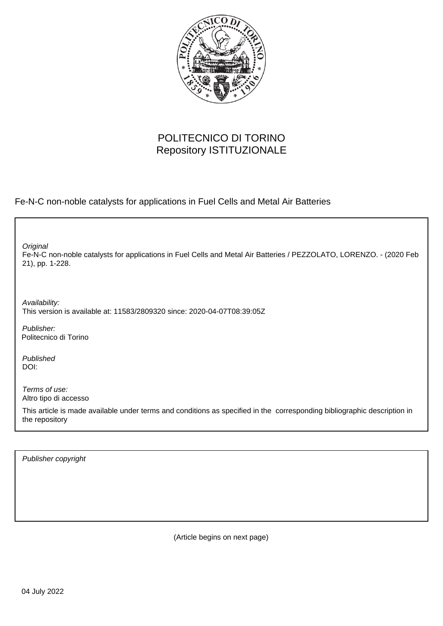

## POLITECNICO DI TORINO Repository ISTITUZIONALE

Fe-N-C non-noble catalysts for applications in Fuel Cells and Metal Air Batteries

Fe-N-C non-noble catalysts for applications in Fuel Cells and Metal Air Batteries / PEZZOLATO, LORENZO. - (2020 Feb 21), pp. 1-228. **Original** 

Availability: This version is available at: 11583/2809320 since: 2020-04-07T08:39:05Z

Publisher: Politecnico di Torino

Published DOI:

Terms of use: Altro tipo di accesso

This article is made available under terms and conditions as specified in the corresponding bibliographic description in the repository

Publisher copyright

(Article begins on next page)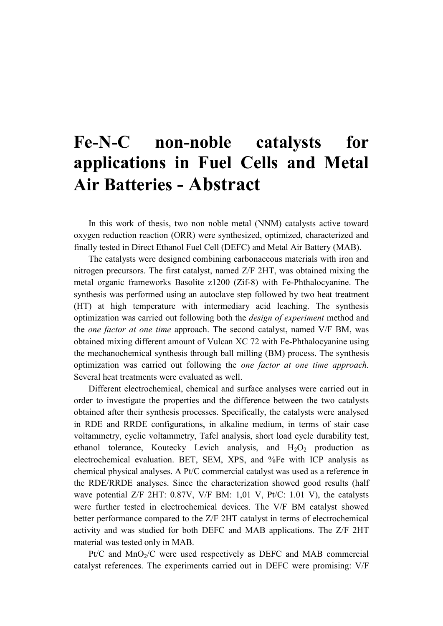## **Fe-N-C non-noble catalysts for applications in Fuel Cells and Metal Air Batteries - Abstract**

In this work of thesis, two non noble metal (NNM) catalysts active toward oxygen reduction reaction (ORR) were synthesized, optimized, characterized and finally tested in Direct Ethanol Fuel Cell (DEFC) and Metal Air Battery (MAB).

The catalysts were designed combining carbonaceous materials with iron and nitrogen precursors. The first catalyst, named Z/F 2HT, was obtained mixing the metal organic frameworks Basolite z1200 (Zif-8) with Fe-Phthalocyanine. The synthesis was performed using an autoclave step followed by two heat treatment (HT) at high temperature with intermediary acid leaching. The synthesis optimization was carried out following both the *design of experiment* method and the *one factor at one time* approach. The second catalyst, named V/F BM, was obtained mixing different amount of Vulcan XC 72 with Fe-Phthalocyanine using the mechanochemical synthesis through ball milling (BM) process. The synthesis optimization was carried out following the *one factor at one time approach.* Several heat treatments were evaluated as well.

Different electrochemical, chemical and surface analyses were carried out in order to investigate the properties and the difference between the two catalysts obtained after their synthesis processes. Specifically, the catalysts were analysed in RDE and RRDE configurations, in alkaline medium, in terms of stair case voltammetry, cyclic voltammetry, Tafel analysis, short load cycle durability test, ethanol tolerance, Koutecky Levich analysis, and  $H_2O_2$  production as electrochemical evaluation. BET, SEM, XPS, and %Fe with ICP analysis as chemical physical analyses. A Pt/C commercial catalyst was used as a reference in the RDE/RRDE analyses. Since the characterization showed good results (half wave potential Z/F 2HT: 0.87V, V/F BM: 1,01 V, Pt/C: 1.01 V), the catalysts were further tested in electrochemical devices. The V/F BM catalyst showed better performance compared to the Z/F 2HT catalyst in terms of electrochemical activity and was studied for both DEFC and MAB applications. The Z/F 2HT material was tested only in MAB.

 $Pt/C$  and  $MnO<sub>2</sub>/C$  were used respectively as DEFC and MAB commercial catalyst references. The experiments carried out in DEFC were promising: V/F